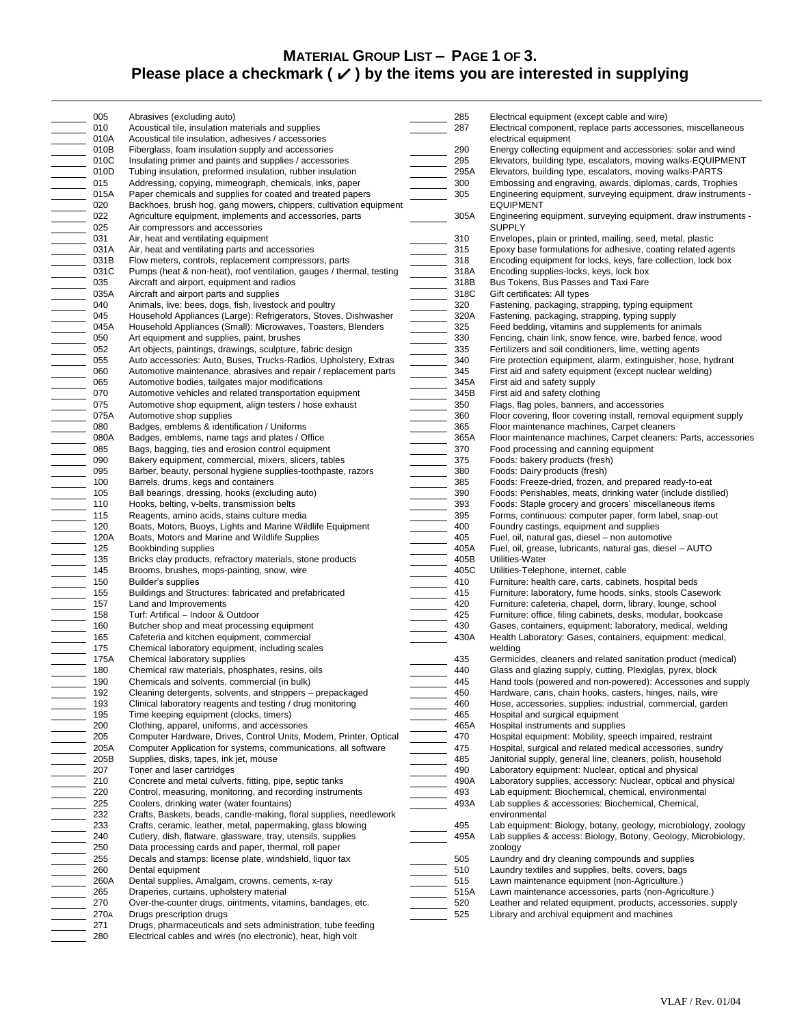## **MATERIAL GROUP LIST – PAGE 1 OF 3.** Please place a checkmark  $(\checkmark)$  by the items you are interested in supplying

|                          | 005  | Abrasives (excluding auto)                                           | 285  | Electrical equipment (except cable and wire)                     |
|--------------------------|------|----------------------------------------------------------------------|------|------------------------------------------------------------------|
|                          |      |                                                                      |      |                                                                  |
|                          | 010  | Acoustical tile, insulation materials and supplies                   | 287  | Electrical component, replace parts accessories, miscellaneous   |
|                          | 010A | Acoustical tile insulation, adhesives / accessories                  |      | electrical equipment                                             |
|                          | 010B | Fiberglass, foam insulation supply and accessories                   | 290  | Energy collecting equipment and accessories: solar and wind      |
|                          | 010C | Insulating primer and paints and supplies / accessories              | 295  | Elevators, building type, escalators, moving walks-EQUIPMENT     |
|                          | 010D | Tubing insulation, preformed insulation, rubber insulation           | 295A | Elevators, building type, escalators, moving walks-PARTS         |
| $\equiv$                 | 015  | Addressing, copying, mimeograph, chemicals, inks, paper              | 300  | Embossing and engraving, awards, diplomas, cards, Trophies       |
|                          | 015A | Paper chemicals and supplies for coated and treated papers           | 305  | Engineering equipment, surveying equipment, draw instruments -   |
|                          | 020  | Backhoes, brush hog, gang mowers, chippers, cultivation equipment    |      | <b>EQUIPMENT</b>                                                 |
|                          |      |                                                                      |      |                                                                  |
|                          | 022  | Agriculture equipment, implements and accessories, parts             | 305A | Engineering equipment, surveying equipment, draw instruments -   |
| $\equiv$                 | 025  | Air compressors and accessories                                      |      | <b>SUPPLY</b>                                                    |
|                          | 031  | Air, heat and ventilating equipment                                  | 310  | Envelopes, plain or printed, mailing, seed, metal, plastic       |
|                          | 031A | Air, heat and ventilating parts and accessories                      | 315  | Epoxy base formulations for adhesive, coating related agents     |
|                          | 031B | Flow meters, controls, replacement compressors, parts                | 318  | Encoding equipment for locks, keys, fare collection, lock box    |
|                          | 031C | Pumps (heat & non-heat), roof ventilation, gauges / thermal, testing | 318A | Encoding supplies-locks, keys, lock box                          |
|                          | 035  | Aircraft and airport, equipment and radios                           | 318B | Bus Tokens, Bus Passes and Taxi Fare                             |
|                          |      |                                                                      | 318C |                                                                  |
|                          | 035A | Aircraft and airport parts and supplies                              |      | Gift certificates: All types                                     |
|                          | 040  | Animals, live: bees, dogs, fish, livestock and poultry               | 320  | Fastening, packaging, strapping, typing equipment                |
|                          | 045  | Household Appliances (Large): Refrigerators, Stoves, Dishwasher      | 320A | Fastening, packaging, strapping, typing supply                   |
|                          | 045A | Household Appliances (Small): Microwaves, Toasters, Blenders         | 325  | Feed bedding, vitamins and supplements for animals               |
|                          | 050  | Art equipment and supplies, paint, brushes                           | 330  | Fencing, chain link, snow fence, wire, barbed fence, wood        |
| $\equiv$                 | 052  | Art objects, paintings, drawings, sculpture, fabric design           | 335  | Fertilizers and soil conditioners, lime, wetting agents          |
|                          | 055  | Auto accessories: Auto, Buses, Trucks-Radios, Upholstery, Extras     | 340  | Fire protection equipment, alarm, extinguisher, hose, hydrant    |
|                          | 060  | Automotive maintenance, abrasives and repair / replacement parts     | 345  | First aid and safety equipment (except nuclear welding)          |
|                          |      |                                                                      |      |                                                                  |
| $\equiv$                 | 065  | Automotive bodies, tailgates major modifications                     | 345A | First aid and safety supply                                      |
|                          | 070  | Automotive vehicles and related transportation equipment             | 345B | First aid and safety clothing                                    |
|                          | 075  | Automotive shop equipment, align testers / hose exhaust              | 350  | Flags, flag poles, banners, and accessories                      |
|                          | 075A | Automotive shop supplies                                             | 360  | Floor covering, floor covering install, removal equipment supply |
|                          | 080  | Badges, emblems & identification / Uniforms                          | 365  | Floor maintenance machines, Carpet cleaners                      |
|                          | 080A | Badges, emblems, name tags and plates / Office                       | 365A | Floor maintenance machines, Carpet cleaners: Parts, accessories  |
|                          | 085  | Bags, bagging, ties and erosion control equipment                    | 370  | Food processing and canning equipment                            |
|                          | 090  |                                                                      | 375  |                                                                  |
|                          |      | Bakery equipment, commercial, mixers, slicers, tables                |      | Foods: bakery products (fresh)                                   |
| <br>                     | 095  | Barber, beauty, personal hygiene supplies-toothpaste, razors         | 380  | Foods: Dairy products (fresh)                                    |
|                          | 100  | Barrels, drums, kegs and containers                                  | 385  | Foods: Freeze-dried, frozen, and prepared ready-to-eat           |
|                          | 105  | Ball bearings, dressing, hooks (excluding auto)                      | 390  | Foods: Perishables, meats, drinking water (include distilled)    |
|                          | 110  | Hooks, belting, v-belts, transmission belts                          | 393  | Foods: Staple grocery and grocers' miscellaneous items           |
| <b>IIII</b><br>IIII      | 115  | Reagents, amino acids, stains culture media                          | 395  | Forms, continuous: computer paper, form label, snap-out          |
|                          | 120  | Boats, Motors, Buoys, Lights and Marine Wildlife Equipment           | 400  | Foundry castings, equipment and supplies                         |
|                          | 120A | Boats, Motors and Marine and Wildlife Supplies                       | 405  | Fuel, oil, natural gas, diesel - non automotive                  |
|                          | 125  |                                                                      | 405A |                                                                  |
|                          |      | Bookbinding supplies                                                 |      | Fuel, oil, grease, lubricants, natural gas, diesel - AUTO        |
|                          | 135  | Bricks clay products, refractory materials, stone products           | 405B | Utilities-Water                                                  |
| $\equiv$                 | 145  | Brooms, brushes, mops-painting, snow, wire                           | 405C | Utilities-Telephone, internet, cable                             |
|                          | 150  | Builder's supplies                                                   | 410  | Furniture: health care, carts, cabinets, hospital beds           |
| $\equiv$                 | 155  | Buildings and Structures: fabricated and prefabricated               | 415  | Furniture: laboratory, fume hoods, sinks, stools Casework        |
|                          | 157  | Land and Improvements                                                | 420  | Furniture: cafeteria, chapel, dorm, library, lounge, school      |
|                          | 158  | Turf: Artifical - Indoor & Outdoor                                   | 425  | Furniture: office, filing cabinets, desks, modular, bookcase     |
|                          | 160  | Butcher shop and meat processing equipment                           | 430  | Gases, containers, equipment: laboratory, medical, welding       |
|                          |      |                                                                      | 430A |                                                                  |
|                          | 165  | Cafeteria and kitchen equipment, commercial                          |      | Health Laboratory: Gases, containers, equipment: medical,        |
|                          | 175  | Chemical laboratory equipment, including scales                      |      | welding                                                          |
|                          | 175A | Chemical laboratory supplies                                         | 435  | Germicides, cleaners and related sanitation product (medical)    |
|                          | 180  | Chemical raw materials, phosphates, resins, oils                     | 440  | Glass and glazing supply, cutting, Plexiglas, pyrex, block       |
|                          | 190  | Chemicals and solvents, commercial (in bulk)                         | 445  | Hand tools (powered and non-powered): Accessories and supply     |
|                          | 192  | Cleaning detergents, solvents, and strippers – prepackaged           | 450  | Hardware, cans, chain hooks, casters, hinges, nails, wire        |
|                          | 193  | Clinical laboratory reagents and testing / drug monitoring           | 460  | Hose, accessories, supplies: industrial, commercial, garden      |
|                          | 195  | Time keeping equipment (clocks, timers)                              | 465  | Hospital and surgical equipment                                  |
|                          |      |                                                                      |      |                                                                  |
|                          | 200  | Clothing, apparel, uniforms, and accessories                         | 465A | Hospital instruments and supplies                                |
|                          | 205  | Computer Hardware, Drives, Control Units, Modem, Printer, Optical    | 470  | Hospital equipment: Mobility, speech impaired, restraint         |
|                          | 205A | Computer Application for systems, communications, all software       | 475  | Hospital, surgical and related medical accessories, sundry       |
|                          | 205B | Supplies, disks, tapes, ink jet, mouse                               | 485  | Janitorial supply, general line, cleaners, polish, household     |
|                          | 207  | Toner and laser cartridges                                           | 490  | Laboratory equipment: Nuclear, optical and physical              |
|                          | 210  | Concrete and metal culverts, fitting, pipe, septic tanks             | 490A | Laboratory supplies, accessory: Nuclear, optical and physical    |
| $\equiv$                 | 220  | Control, measuring, monitoring, and recording instruments            | 493  | Lab equipment: Biochemical, chemical, environmental              |
|                          | 225  | Coolers, drinking water (water fountains)                            | 493A | Lab supplies & accessories: Biochemical, Chemical,               |
|                          |      |                                                                      |      |                                                                  |
| $\overline{\phantom{a}}$ | 232  | Crafts, Baskets, beads, candle-making, floral supplies, needlework   |      | environmental                                                    |
|                          | 233  | Crafts, ceramic, leather, metal, papermaking, glass blowing          | 495  | Lab equipment: Biology, botany, geology, microbiology, zoology   |
|                          | 240  | Cutlery, dish, flatware, glassware, tray, utensils, supplies         | 495A | Lab supplies & access: Biology, Botony, Geology, Microbiology,   |
| $\equiv$                 | 250  | Data processing cards and paper, thermal, roll paper                 |      | zoology                                                          |
|                          | 255  | Decals and stamps: license plate, windshield, liquor tax             | 505  | Laundry and dry cleaning compounds and supplies                  |
|                          | 260  | Dental equipment                                                     | 510  | Laundry textiles and supplies, belts, covers, bags               |
|                          | 260A | Dental supplies, Amalgam, crowns, cements, x-ray                     | 515  | Lawn maintenance equipment (non-Agriculture.)                    |
|                          | 265  | Draperies, curtains, upholstery material                             | 515A | Lawn maintenance accessories, parts (non-Agriculture.)           |
|                          |      |                                                                      |      |                                                                  |
|                          | 270  | Over-the-counter drugs, ointments, vitamins, bandages, etc.          | 520  | Leather and related equipment, products, accessories, supply     |
|                          | 270A | Drugs prescription drugs                                             | 525  | Library and archival equipment and machines                      |
|                          | 271  | Drugs, pharmaceuticals and sets administration, tube feeding         |      |                                                                  |
|                          | 280  | Electrical cables and wires (no electronic), heat, high volt         |      |                                                                  |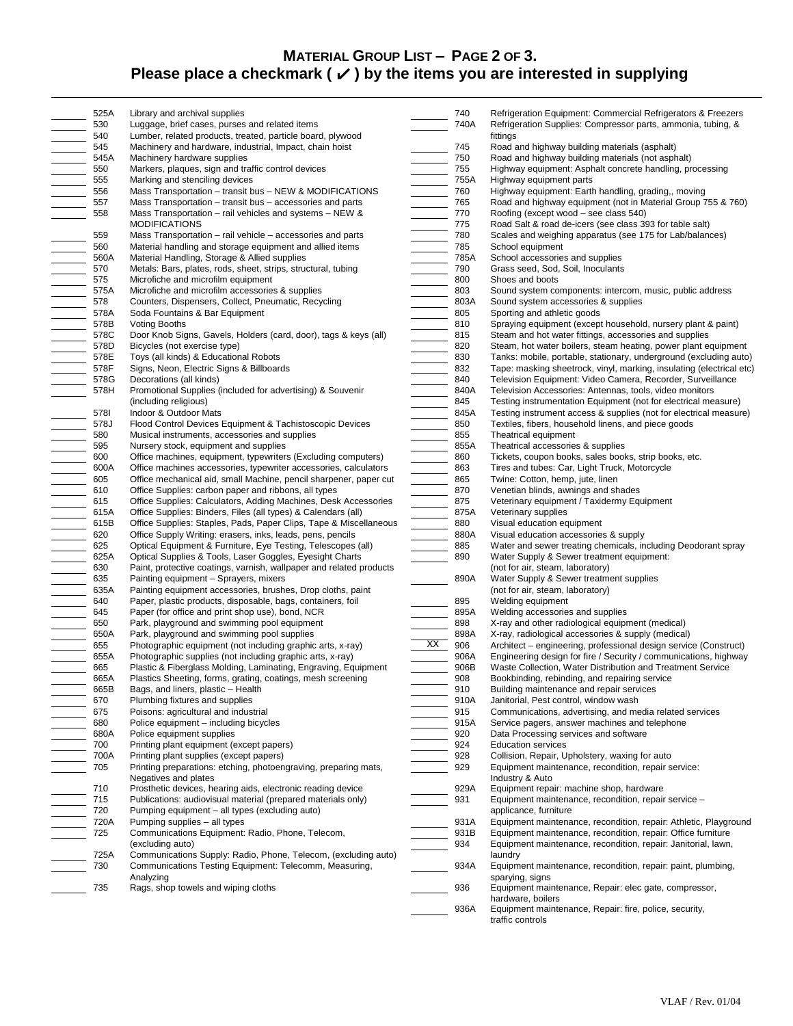## **MATERIAL GROUP LIST – PAGE 2 OF 3.** Please place a checkmark (√) by the items you are interested in supplying

|                                                                                                                                                                                                                                                                                                                                                                                                                                                                                                                                                                                                                       | 525A | Library and archival supplies                                       |                                                                                                                                                                                                                                                                                                                                                                                                                                                                                                                                                                                                                   | 740  | Refrigeration Equipment: Commercial Refrigerators & Freezers         |
|-----------------------------------------------------------------------------------------------------------------------------------------------------------------------------------------------------------------------------------------------------------------------------------------------------------------------------------------------------------------------------------------------------------------------------------------------------------------------------------------------------------------------------------------------------------------------------------------------------------------------|------|---------------------------------------------------------------------|-------------------------------------------------------------------------------------------------------------------------------------------------------------------------------------------------------------------------------------------------------------------------------------------------------------------------------------------------------------------------------------------------------------------------------------------------------------------------------------------------------------------------------------------------------------------------------------------------------------------|------|----------------------------------------------------------------------|
|                                                                                                                                                                                                                                                                                                                                                                                                                                                                                                                                                                                                                       | 530  | Luggage, brief cases, purses and related items                      |                                                                                                                                                                                                                                                                                                                                                                                                                                                                                                                                                                                                                   | 740A | Refrigeration Supplies: Compressor parts, ammonia, tubing, &         |
|                                                                                                                                                                                                                                                                                                                                                                                                                                                                                                                                                                                                                       | 540  | Lumber, related products, treated, particle board, plywood          |                                                                                                                                                                                                                                                                                                                                                                                                                                                                                                                                                                                                                   |      | fittings                                                             |
|                                                                                                                                                                                                                                                                                                                                                                                                                                                                                                                                                                                                                       | 545  | Machinery and hardware, industrial, Impact, chain hoist             |                                                                                                                                                                                                                                                                                                                                                                                                                                                                                                                                                                                                                   | 745  | Road and highway building materials (asphalt)                        |
|                                                                                                                                                                                                                                                                                                                                                                                                                                                                                                                                                                                                                       | 545A | Machinery hardware supplies                                         |                                                                                                                                                                                                                                                                                                                                                                                                                                                                                                                                                                                                                   | 750  | Road and highway building materials (not asphalt)                    |
|                                                                                                                                                                                                                                                                                                                                                                                                                                                                                                                                                                                                                       | 550  | Markers, plaques, sign and traffic control devices                  |                                                                                                                                                                                                                                                                                                                                                                                                                                                                                                                                                                                                                   | 755  | Highway equipment: Asphalt concrete handling, processing             |
| $\begin{array}{c} \begin{array}{c} \begin{array}{c} \begin{array}{c} \end{array} \\ \begin{array}{c} \end{array} \end{array} \end{array} \end{array}$                                                                                                                                                                                                                                                                                                                                                                                                                                                                 | 555  | Marking and stenciling devices                                      |                                                                                                                                                                                                                                                                                                                                                                                                                                                                                                                                                                                                                   | 755A | Highway equipment parts                                              |
|                                                                                                                                                                                                                                                                                                                                                                                                                                                                                                                                                                                                                       | 556  | Mass Transportation - transit bus - NEW & MODIFICATIONS             |                                                                                                                                                                                                                                                                                                                                                                                                                                                                                                                                                                                                                   | 760  | Highway equipment: Earth handling, grading,, moving                  |
|                                                                                                                                                                                                                                                                                                                                                                                                                                                                                                                                                                                                                       | 557  | Mass Transportation - transit bus - accessories and parts           |                                                                                                                                                                                                                                                                                                                                                                                                                                                                                                                                                                                                                   | 765  | Road and highway equipment (not in Material Group 755 & 760)         |
|                                                                                                                                                                                                                                                                                                                                                                                                                                                                                                                                                                                                                       |      |                                                                     |                                                                                                                                                                                                                                                                                                                                                                                                                                                                                                                                                                                                                   |      |                                                                      |
|                                                                                                                                                                                                                                                                                                                                                                                                                                                                                                                                                                                                                       | 558  | Mass Transportation – rail vehicles and systems – NEW &             |                                                                                                                                                                                                                                                                                                                                                                                                                                                                                                                                                                                                                   | 770  | Roofing (except wood – see class 540)                                |
|                                                                                                                                                                                                                                                                                                                                                                                                                                                                                                                                                                                                                       |      | <b>MODIFICATIONS</b>                                                | <u> 1999 - Johann Barne</u>                                                                                                                                                                                                                                                                                                                                                                                                                                                                                                                                                                                       | 775  | Road Salt & road de-icers (see class 393 for table salt)             |
|                                                                                                                                                                                                                                                                                                                                                                                                                                                                                                                                                                                                                       | 559  | Mass Transportation – rail vehicle – accessories and parts          |                                                                                                                                                                                                                                                                                                                                                                                                                                                                                                                                                                                                                   | 780  | Scales and weighing apparatus (see 175 for Lab/balances)             |
|                                                                                                                                                                                                                                                                                                                                                                                                                                                                                                                                                                                                                       | 560  | Material handling and storage equipment and allied items            |                                                                                                                                                                                                                                                                                                                                                                                                                                                                                                                                                                                                                   | 785  | School equipment                                                     |
|                                                                                                                                                                                                                                                                                                                                                                                                                                                                                                                                                                                                                       | 560A | Material Handling, Storage & Allied supplies                        |                                                                                                                                                                                                                                                                                                                                                                                                                                                                                                                                                                                                                   | 785A | School accessories and supplies                                      |
|                                                                                                                                                                                                                                                                                                                                                                                                                                                                                                                                                                                                                       | 570  | Metals: Bars, plates, rods, sheet, strips, structural, tubing       |                                                                                                                                                                                                                                                                                                                                                                                                                                                                                                                                                                                                                   | 790  | Grass seed, Sod, Soil, Inoculants                                    |
|                                                                                                                                                                                                                                                                                                                                                                                                                                                                                                                                                                                                                       | 575  | Microfiche and microfilm equipment                                  |                                                                                                                                                                                                                                                                                                                                                                                                                                                                                                                                                                                                                   | 800  | Shoes and boots                                                      |
|                                                                                                                                                                                                                                                                                                                                                                                                                                                                                                                                                                                                                       | 575A | Microfiche and microfilm accessories & supplies                     |                                                                                                                                                                                                                                                                                                                                                                                                                                                                                                                                                                                                                   | 803  |                                                                      |
|                                                                                                                                                                                                                                                                                                                                                                                                                                                                                                                                                                                                                       |      |                                                                     |                                                                                                                                                                                                                                                                                                                                                                                                                                                                                                                                                                                                                   |      | Sound system components: intercom, music, public address             |
|                                                                                                                                                                                                                                                                                                                                                                                                                                                                                                                                                                                                                       | 578  | Counters, Dispensers, Collect, Pneumatic, Recycling                 |                                                                                                                                                                                                                                                                                                                                                                                                                                                                                                                                                                                                                   | 803A | Sound system accessories & supplies                                  |
|                                                                                                                                                                                                                                                                                                                                                                                                                                                                                                                                                                                                                       | 578A | Soda Fountains & Bar Equipment                                      |                                                                                                                                                                                                                                                                                                                                                                                                                                                                                                                                                                                                                   | 805  | Sporting and athletic goods                                          |
|                                                                                                                                                                                                                                                                                                                                                                                                                                                                                                                                                                                                                       | 578B | Voting Booths                                                       |                                                                                                                                                                                                                                                                                                                                                                                                                                                                                                                                                                                                                   | 810  | Spraying equipment (except household, nursery plant & paint)         |
|                                                                                                                                                                                                                                                                                                                                                                                                                                                                                                                                                                                                                       | 578C | Door Knob Signs, Gavels, Holders (card, door), tags & keys (all)    |                                                                                                                                                                                                                                                                                                                                                                                                                                                                                                                                                                                                                   | 815  | Steam and hot water fittings, accessories and supplies               |
|                                                                                                                                                                                                                                                                                                                                                                                                                                                                                                                                                                                                                       | 578D | Bicycles (not exercise type)                                        |                                                                                                                                                                                                                                                                                                                                                                                                                                                                                                                                                                                                                   | 820  | Steam, hot water boilers, steam heating, power plant equipment       |
|                                                                                                                                                                                                                                                                                                                                                                                                                                                                                                                                                                                                                       | 578E | Toys (all kinds) & Educational Robots                               | $\overline{\phantom{a}}$                                                                                                                                                                                                                                                                                                                                                                                                                                                                                                                                                                                          | 830  | Tanks: mobile, portable, stationary, underground (excluding auto)    |
|                                                                                                                                                                                                                                                                                                                                                                                                                                                                                                                                                                                                                       | 578F | Signs, Neon, Electric Signs & Billboards                            |                                                                                                                                                                                                                                                                                                                                                                                                                                                                                                                                                                                                                   | 832  | Tape: masking sheetrock, vinyl, marking, insulating (electrical etc) |
|                                                                                                                                                                                                                                                                                                                                                                                                                                                                                                                                                                                                                       |      |                                                                     |                                                                                                                                                                                                                                                                                                                                                                                                                                                                                                                                                                                                                   |      |                                                                      |
|                                                                                                                                                                                                                                                                                                                                                                                                                                                                                                                                                                                                                       | 578G | Decorations (all kinds)                                             |                                                                                                                                                                                                                                                                                                                                                                                                                                                                                                                                                                                                                   | 840  | Television Equipment: Video Camera, Recorder, Surveillance           |
|                                                                                                                                                                                                                                                                                                                                                                                                                                                                                                                                                                                                                       | 578H | Promotional Supplies (included for advertising) & Souvenir          |                                                                                                                                                                                                                                                                                                                                                                                                                                                                                                                                                                                                                   | 840A | Television Accessories: Antennas, tools, video monitors              |
|                                                                                                                                                                                                                                                                                                                                                                                                                                                                                                                                                                                                                       |      | (including religious)                                               |                                                                                                                                                                                                                                                                                                                                                                                                                                                                                                                                                                                                                   | 845  | Testing instrumentation Equipment (not for electrical measure)       |
|                                                                                                                                                                                                                                                                                                                                                                                                                                                                                                                                                                                                                       | 5781 | Indoor & Outdoor Mats                                               |                                                                                                                                                                                                                                                                                                                                                                                                                                                                                                                                                                                                                   | 845A | Testing instrument access & supplies (not for electrical measure)    |
| $\begin{tabular}{ c c c } \hline \quad \quad & \quad \quad & \quad \quad \\ \hline \quad \quad & \quad \quad & \quad \quad \\ \hline \quad \quad & \quad \quad & \quad \quad \\ \hline \quad \quad & \quad \quad & \quad \quad \\ \hline \quad \quad & \quad \quad & \quad \quad \\ \hline \quad \quad & \quad \quad & \quad \quad \\ \hline \quad \quad & \quad \quad & \quad \quad \\ \hline \quad \quad & \quad \quad & \quad \quad \\ \hline \quad \quad & \quad \quad & \quad \quad \\ \hline \quad \quad & \quad \quad & \quad \quad \\ \hline \quad \quad & \quad \quad & \quad \quad \\ \hline \quad \quad &$ | 578J | Flood Control Devices Equipment & Tachistoscopic Devices            |                                                                                                                                                                                                                                                                                                                                                                                                                                                                                                                                                                                                                   | 850  | Textiles, fibers, household linens, and piece goods                  |
|                                                                                                                                                                                                                                                                                                                                                                                                                                                                                                                                                                                                                       | 580  | Musical instruments, accessories and supplies                       |                                                                                                                                                                                                                                                                                                                                                                                                                                                                                                                                                                                                                   | 855  | Theatrical equipment                                                 |
|                                                                                                                                                                                                                                                                                                                                                                                                                                                                                                                                                                                                                       | 595  | Nursery stock, equipment and supplies                               |                                                                                                                                                                                                                                                                                                                                                                                                                                                                                                                                                                                                                   | 855A | Theatrical accessories & supplies                                    |
|                                                                                                                                                                                                                                                                                                                                                                                                                                                                                                                                                                                                                       | 600  | Office machines, equipment, typewriters (Excluding computers)       |                                                                                                                                                                                                                                                                                                                                                                                                                                                                                                                                                                                                                   | 860  | Tickets, coupon books, sales books, strip books, etc.                |
|                                                                                                                                                                                                                                                                                                                                                                                                                                                                                                                                                                                                                       |      |                                                                     |                                                                                                                                                                                                                                                                                                                                                                                                                                                                                                                                                                                                                   |      |                                                                      |
| <b>HELEL ENGINEER</b>                                                                                                                                                                                                                                                                                                                                                                                                                                                                                                                                                                                                 | 600A | Office machines accessories, typewriter accessories, calculators    | $\begin{tabular}{ c c c c } \hline \quad \quad & \quad \quad & \quad \quad \\ \hline \quad \quad & \quad \quad & \quad \quad \\ \hline \quad \quad & \quad \quad & \quad \quad \\ \hline \quad \quad & \quad \quad & \quad \quad \\ \hline \quad \quad & \quad \quad & \quad \quad \\ \hline \quad \quad & \quad \quad & \quad \quad \\ \hline \quad \quad & \quad \quad & \quad \quad \\ \hline \quad \quad & \quad \quad & \quad \quad \\ \hline \quad \quad & \quad \quad & \quad \quad \\ \hline \quad \quad & \quad \quad & \quad \quad \\ \hline \quad \quad & \quad \quad & \quad \quad \\ \hline \quad \$ | 863  | Tires and tubes: Car, Light Truck, Motorcycle                        |
|                                                                                                                                                                                                                                                                                                                                                                                                                                                                                                                                                                                                                       | 605  | Office mechanical aid, small Machine, pencil sharpener, paper cut   |                                                                                                                                                                                                                                                                                                                                                                                                                                                                                                                                                                                                                   | 865  | Twine: Cotton, hemp, jute, linen                                     |
|                                                                                                                                                                                                                                                                                                                                                                                                                                                                                                                                                                                                                       | 610  | Office Supplies: carbon paper and ribbons, all types                |                                                                                                                                                                                                                                                                                                                                                                                                                                                                                                                                                                                                                   | 870  | Venetian blinds, awnings and shades                                  |
|                                                                                                                                                                                                                                                                                                                                                                                                                                                                                                                                                                                                                       | 615  | Office Supplies: Calculators, Adding Machines, Desk Accessories     | $\frac{1}{\sqrt{1-\frac{1}{2}}}\left( \frac{1}{\sqrt{1-\frac{1}{2}}}\right)$                                                                                                                                                                                                                                                                                                                                                                                                                                                                                                                                      | 875  | Veterinary equipment / Taxidermy Equipment                           |
|                                                                                                                                                                                                                                                                                                                                                                                                                                                                                                                                                                                                                       | 615A | Office Supplies: Binders, Files (all types) & Calendars (all)       |                                                                                                                                                                                                                                                                                                                                                                                                                                                                                                                                                                                                                   | 875A | Veterinary supplies                                                  |
|                                                                                                                                                                                                                                                                                                                                                                                                                                                                                                                                                                                                                       | 615B | Office Supplies: Staples, Pads, Paper Clips, Tape & Miscellaneous   | $\frac{1}{\sqrt{1-\frac{1}{2}}\sqrt{1-\frac{1}{2}}\sqrt{1-\frac{1}{2}}\sqrt{1-\frac{1}{2}}\sqrt{1-\frac{1}{2}}\sqrt{1-\frac{1}{2}}\sqrt{1-\frac{1}{2}}\sqrt{1-\frac{1}{2}}\sqrt{1-\frac{1}{2}}\sqrt{1-\frac{1}{2}}\sqrt{1-\frac{1}{2}}\sqrt{1-\frac{1}{2}}\sqrt{1-\frac{1}{2}}\sqrt{1-\frac{1}{2}}\sqrt{1-\frac{1}{2}}\sqrt{1-\frac{1}{2}}\sqrt{1-\frac{1}{2}}\sqrt{1-\frac{1}{2}}\sqrt{1-\frac{1}{2}}\sqrt{1-\frac$                                                                                                                                                                                              | 880  | Visual education equipment                                           |
|                                                                                                                                                                                                                                                                                                                                                                                                                                                                                                                                                                                                                       |      |                                                                     |                                                                                                                                                                                                                                                                                                                                                                                                                                                                                                                                                                                                                   |      |                                                                      |
|                                                                                                                                                                                                                                                                                                                                                                                                                                                                                                                                                                                                                       | 620  | Office Supply Writing: erasers, inks, leads, pens, pencils          | <u> 1999 - John Barne</u>                                                                                                                                                                                                                                                                                                                                                                                                                                                                                                                                                                                         | 880A | Visual education accessories & supply                                |
|                                                                                                                                                                                                                                                                                                                                                                                                                                                                                                                                                                                                                       | 625  | Optical Equipment & Furniture, Eye Testing, Telescopes (all)        |                                                                                                                                                                                                                                                                                                                                                                                                                                                                                                                                                                                                                   | 885  | Water and sewer treating chemicals, including Deodorant spray        |
|                                                                                                                                                                                                                                                                                                                                                                                                                                                                                                                                                                                                                       | 625A | Optical Supplies & Tools, Laser Goggles, Eyesight Charts            |                                                                                                                                                                                                                                                                                                                                                                                                                                                                                                                                                                                                                   | 890  | Water Supply & Sewer treatment equipment:                            |
|                                                                                                                                                                                                                                                                                                                                                                                                                                                                                                                                                                                                                       | 630  | Paint, protective coatings, varnish, wallpaper and related products |                                                                                                                                                                                                                                                                                                                                                                                                                                                                                                                                                                                                                   |      | (not for air, steam, laboratory)                                     |
|                                                                                                                                                                                                                                                                                                                                                                                                                                                                                                                                                                                                                       | 635  | Painting equipment - Sprayers, mixers                               |                                                                                                                                                                                                                                                                                                                                                                                                                                                                                                                                                                                                                   | 890A | Water Supply & Sewer treatment supplies                              |
|                                                                                                                                                                                                                                                                                                                                                                                                                                                                                                                                                                                                                       | 635A | Painting equipment accessories, brushes, Drop cloths, paint         |                                                                                                                                                                                                                                                                                                                                                                                                                                                                                                                                                                                                                   |      | (not for air, steam, laboratory)                                     |
|                                                                                                                                                                                                                                                                                                                                                                                                                                                                                                                                                                                                                       | 640  | Paper, plastic products, disposable, bags, containers, foil         |                                                                                                                                                                                                                                                                                                                                                                                                                                                                                                                                                                                                                   | 895  | Welding equipment                                                    |
|                                                                                                                                                                                                                                                                                                                                                                                                                                                                                                                                                                                                                       | 645  | Paper (for office and print shop use), bond, NCR                    |                                                                                                                                                                                                                                                                                                                                                                                                                                                                                                                                                                                                                   | 895A | Welding accessories and supplies                                     |
|                                                                                                                                                                                                                                                                                                                                                                                                                                                                                                                                                                                                                       |      |                                                                     |                                                                                                                                                                                                                                                                                                                                                                                                                                                                                                                                                                                                                   |      |                                                                      |
|                                                                                                                                                                                                                                                                                                                                                                                                                                                                                                                                                                                                                       | 650  | Park, playground and swimming pool equipment                        |                                                                                                                                                                                                                                                                                                                                                                                                                                                                                                                                                                                                                   | 898  | X-ray and other radiological equipment (medical)                     |
|                                                                                                                                                                                                                                                                                                                                                                                                                                                                                                                                                                                                                       | 650A | Park, playground and swimming pool supplies                         |                                                                                                                                                                                                                                                                                                                                                                                                                                                                                                                                                                                                                   | 898A | X-ray, radiological accessories & supply (medical)                   |
|                                                                                                                                                                                                                                                                                                                                                                                                                                                                                                                                                                                                                       | 655  | Photographic equipment (not including graphic arts, x-ray)          | $\overline{XX}$ 906                                                                                                                                                                                                                                                                                                                                                                                                                                                                                                                                                                                               |      | Architect - engineering, professional design service (Construct)     |
|                                                                                                                                                                                                                                                                                                                                                                                                                                                                                                                                                                                                                       | 655A | Photographic supplies (not including graphic arts, x-ray)           |                                                                                                                                                                                                                                                                                                                                                                                                                                                                                                                                                                                                                   | 906A | Engineering design for fire / Security / communications, highway     |
|                                                                                                                                                                                                                                                                                                                                                                                                                                                                                                                                                                                                                       | 665  | Plastic & Fiberglass Molding, Laminating, Engraving, Equipment      | $\mathcal{L}^{\text{max}}$                                                                                                                                                                                                                                                                                                                                                                                                                                                                                                                                                                                        | 906B | Waste Collection, Water Distribution and Treatment Service           |
|                                                                                                                                                                                                                                                                                                                                                                                                                                                                                                                                                                                                                       | 665A | Plastics Sheeting, forms, grating, coatings, mesh screening         |                                                                                                                                                                                                                                                                                                                                                                                                                                                                                                                                                                                                                   | 908  | Bookbinding, rebinding, and repairing service                        |
|                                                                                                                                                                                                                                                                                                                                                                                                                                                                                                                                                                                                                       | 665B | Bags, and liners, plastic - Health                                  |                                                                                                                                                                                                                                                                                                                                                                                                                                                                                                                                                                                                                   | 910  | Building maintenance and repair services                             |
|                                                                                                                                                                                                                                                                                                                                                                                                                                                                                                                                                                                                                       | 670  | Plumbing fixtures and supplies                                      |                                                                                                                                                                                                                                                                                                                                                                                                                                                                                                                                                                                                                   | 910A | Janitorial, Pest control, window wash                                |
|                                                                                                                                                                                                                                                                                                                                                                                                                                                                                                                                                                                                                       |      |                                                                     |                                                                                                                                                                                                                                                                                                                                                                                                                                                                                                                                                                                                                   |      |                                                                      |
|                                                                                                                                                                                                                                                                                                                                                                                                                                                                                                                                                                                                                       | 675  | Poisons: agricultural and industrial                                |                                                                                                                                                                                                                                                                                                                                                                                                                                                                                                                                                                                                                   | 915  | Communications, advertising, and media related services              |
|                                                                                                                                                                                                                                                                                                                                                                                                                                                                                                                                                                                                                       | 680  | Police equipment - including bicycles                               |                                                                                                                                                                                                                                                                                                                                                                                                                                                                                                                                                                                                                   | 915A | Service pagers, answer machines and telephone                        |
|                                                                                                                                                                                                                                                                                                                                                                                                                                                                                                                                                                                                                       | 680A | Police equipment supplies                                           |                                                                                                                                                                                                                                                                                                                                                                                                                                                                                                                                                                                                                   | 920  | Data Processing services and software                                |
|                                                                                                                                                                                                                                                                                                                                                                                                                                                                                                                                                                                                                       | 700  | Printing plant equipment (except papers)                            |                                                                                                                                                                                                                                                                                                                                                                                                                                                                                                                                                                                                                   | 924  | <b>Education services</b>                                            |
|                                                                                                                                                                                                                                                                                                                                                                                                                                                                                                                                                                                                                       | 700A | Printing plant supplies (except papers)                             |                                                                                                                                                                                                                                                                                                                                                                                                                                                                                                                                                                                                                   | 928  | Collision, Repair, Upholstery, waxing for auto                       |
|                                                                                                                                                                                                                                                                                                                                                                                                                                                                                                                                                                                                                       | 705  | Printing preparations: etching, photoengraving, preparing mats,     |                                                                                                                                                                                                                                                                                                                                                                                                                                                                                                                                                                                                                   | 929  | Equipment maintenance, recondition, repair service:                  |
|                                                                                                                                                                                                                                                                                                                                                                                                                                                                                                                                                                                                                       |      | Negatives and plates                                                |                                                                                                                                                                                                                                                                                                                                                                                                                                                                                                                                                                                                                   |      | Industry & Auto                                                      |
|                                                                                                                                                                                                                                                                                                                                                                                                                                                                                                                                                                                                                       |      |                                                                     |                                                                                                                                                                                                                                                                                                                                                                                                                                                                                                                                                                                                                   |      |                                                                      |
|                                                                                                                                                                                                                                                                                                                                                                                                                                                                                                                                                                                                                       | 710  | Prosthetic devices, hearing aids, electronic reading device         |                                                                                                                                                                                                                                                                                                                                                                                                                                                                                                                                                                                                                   | 929A | Equipment repair: machine shop, hardware                             |
|                                                                                                                                                                                                                                                                                                                                                                                                                                                                                                                                                                                                                       | 715  | Publications: audiovisual material (prepared materials only)        |                                                                                                                                                                                                                                                                                                                                                                                                                                                                                                                                                                                                                   | 931  | Equipment maintenance, recondition, repair service -                 |
|                                                                                                                                                                                                                                                                                                                                                                                                                                                                                                                                                                                                                       | 720  | Pumping equipment – all types (excluding auto)                      |                                                                                                                                                                                                                                                                                                                                                                                                                                                                                                                                                                                                                   |      | applicance, furniture                                                |
|                                                                                                                                                                                                                                                                                                                                                                                                                                                                                                                                                                                                                       | 720A | Pumping supplies - all types                                        |                                                                                                                                                                                                                                                                                                                                                                                                                                                                                                                                                                                                                   | 931A | Equipment maintenance, recondition, repair: Athletic, Playground     |
|                                                                                                                                                                                                                                                                                                                                                                                                                                                                                                                                                                                                                       | 725  | Communications Equipment: Radio, Phone, Telecom,                    |                                                                                                                                                                                                                                                                                                                                                                                                                                                                                                                                                                                                                   | 931B | Equipment maintenance, recondition, repair: Office furniture         |
|                                                                                                                                                                                                                                                                                                                                                                                                                                                                                                                                                                                                                       |      | (excluding auto)                                                    |                                                                                                                                                                                                                                                                                                                                                                                                                                                                                                                                                                                                                   | 934  | Equipment maintenance, recondition, repair: Janitorial, lawn,        |
|                                                                                                                                                                                                                                                                                                                                                                                                                                                                                                                                                                                                                       | 725A | Communications Supply: Radio, Phone, Telecom, (excluding auto)      |                                                                                                                                                                                                                                                                                                                                                                                                                                                                                                                                                                                                                   |      | laundry                                                              |
|                                                                                                                                                                                                                                                                                                                                                                                                                                                                                                                                                                                                                       | 730  | Communications Testing Equipment: Telecomm, Measuring,              |                                                                                                                                                                                                                                                                                                                                                                                                                                                                                                                                                                                                                   | 934A | Equipment maintenance, recondition, repair: paint, plumbing,         |
|                                                                                                                                                                                                                                                                                                                                                                                                                                                                                                                                                                                                                       |      |                                                                     |                                                                                                                                                                                                                                                                                                                                                                                                                                                                                                                                                                                                                   |      |                                                                      |
|                                                                                                                                                                                                                                                                                                                                                                                                                                                                                                                                                                                                                       |      | Analyzing                                                           |                                                                                                                                                                                                                                                                                                                                                                                                                                                                                                                                                                                                                   |      | sparying, signs                                                      |
|                                                                                                                                                                                                                                                                                                                                                                                                                                                                                                                                                                                                                       | 735  | Rags, shop towels and wiping cloths                                 |                                                                                                                                                                                                                                                                                                                                                                                                                                                                                                                                                                                                                   | 936  | Equipment maintenance, Repair: elec gate, compressor,                |
|                                                                                                                                                                                                                                                                                                                                                                                                                                                                                                                                                                                                                       |      |                                                                     |                                                                                                                                                                                                                                                                                                                                                                                                                                                                                                                                                                                                                   |      | hardware, boilers                                                    |
|                                                                                                                                                                                                                                                                                                                                                                                                                                                                                                                                                                                                                       |      |                                                                     |                                                                                                                                                                                                                                                                                                                                                                                                                                                                                                                                                                                                                   | 936A | Equipment maintenance, Repair: fire, police, security,               |
|                                                                                                                                                                                                                                                                                                                                                                                                                                                                                                                                                                                                                       |      |                                                                     |                                                                                                                                                                                                                                                                                                                                                                                                                                                                                                                                                                                                                   |      | traffic controls                                                     |